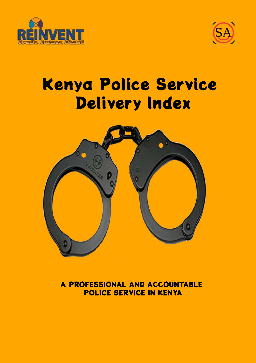



## Kenya Police Service Delivery Index



A PROFESSIONAL AND ACCOUNTABLE POLICE SERVICE IN KENYA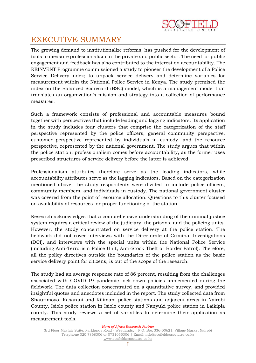

## EXECUTIVE SUMMARY

The growing demand to institutionalize reforms, has pushed for the development of tools to measure professionalism in the private and public sector. The need for public engagement and feedback has also contributed to the interest on accountability. The REINVENT Programme commissioned a study to pioneer the development of a Police Service Delivery-Index; to unpack service delivery and determine variables for measurement within the National Police Service in Kenya. The study premised the index on the Balanced Scorecard (BSC) model, which is a management model that translates an organization's mission and strategy into a collection of performance measures.

Such a framework consists of professional and accountable measures bound together with perspectives that include leading and lagging indicators. Its application in the study includes four clusters that comprise the categorization of the staff perspective represented by the police officers, general community perspective, customer perspective represented by individuals in custody, and the resource perspective, represented by the national government. The study argues that within the police station, professionalism comes before accountability, as the former uses prescribed structures of service delivery before the latter is achieved.

Professionalism attributes therefore serve as the leading indicators, while accountability attributes serve as the lagging indicators. Based on the categorization mentioned above, the study respondents were divided to include police officers, community members, and individuals in custody. The national government cluster was covered from the point of resource allocation. Questions to this cluster focused on availability of resources for proper functioning of the station.

Research acknowledges that a comprehensive understanding of the criminal justice system requires a critical review of the judiciary, the prisons, and the policing units. However, the study concentrated on service delivery at the police station. The fieldwork did not cover interviews with the Directorate of Criminal Investigations (DCI), and interviews with the special units within the National Police Service (including Anti-Terrorism Police Unit, Anti-Stock Theft or Border Patrol). Therefore, all the policy directives outside the boundaries of the police station as the basic service delivery point for citizens, is out of the scope of the research.

The study had an average response rate of 86 percent, resulting from the challenges associated with COVID-19 pandemic lock-down policies implemented during the fieldwork. The data collection concentrated on a quantitative survey, and provided insightful quotes and anecdotes included in the report. The study collected data from Shaurimoyo, Kasarani and Kilimani police stations and adjacent areas in Nairobi County, Isiolo police station in Isiolo county and Nanyuki police station in Laikipia county. This study reviews a set of variables to determine their application as measurement tools.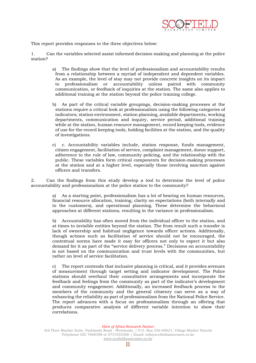

This report provides responses to the three objectives below:

1. Can the variables selected assist informed decision-making and planning at the police station?

- a) The findings show that the level of professionalism and accountability results from a relationship between a myriad of independent and dependent variables. As an example, the level of stay may not provide concrete insights on its impact to professionalism or accountability unless paired with community communication, or feedback of inquiries at the station. The same also applies to additional training at the station beyond the police training college.
- b) As part of the critical variable groupings, decision-making processes at the stations require a critical look at professionalism using the following categories of indicators; station environment, station planning, available departments, working departments, communication and inquiry, service period, additional training while at the station, human resource management, record keeping tools, evidence of use for the record keeping tools, holding facilities at the station, and the quality of investigations.
- c) c. Accountability variables include, station response, funds management, citizen engagement, facilitation of service, complaint management, donor support, adherence to the rule of law, community policing, and the relationship with the public. These variables form critical components for decision-making processes at the station and at a higher level, especially those involving sanction against officers and transfers.

2. Can the findings from this study develop a tool to determine the level of police accountability and professionalism at the police station to the community?

> a) As a starting point, professionalism has a lot of bearing on human resources, financial resource allocation, training, clarity on expectations (both internally and to the customers), and operational planning. These determine the behavioral approaches at different stations, resulting in the variance in professionalism.

> b) Accountability has often moved from the individual officer to the station, and at times to invisible entities beyond the station. The from result such a transfer is lack of ownership and habitual negligence towards officer actions. Additionally, though actions such as facilitation of service should not be encouraged, the contextual norms have made it easy for officers not only to expect it but also demand for it as part of the "service delivery process." Decisions on accountability is not based on the communication and trust levels with the communities, but rather on level of service facilitation.

> c) The report contends that inclusive planning is critical, and it provides avenues of measurement through target setting and indicator development. The Police stations should overhaul their consultative arrangements and incorporate the feedback and feelings from the community as part of the indicator's development and community engagement. Additionally, an increased feedback process to the members of the community and the general citizenry can serve as a way of enhancing the reliability as part of professionalism from the National Police Service. The report advances with a focus on professionalism through an offering that produces comparative analysis of different variable intention to show their correlations.

> > *Horn of Africa Research Partner*

<sup>3</sup>rd Floor Mayfair Suite, Parklands Road - Westlands, | P.O. Box 336-00621, Village Market Nairobi Telephone 020 7868306 or 0731055306 | Email: [info@scofieldassociates.co.ke](mailto:info@scofieldassociates.co.ke) [www.scofieldassociates.co.ke](http://www.scofieldassociates.co.ke/)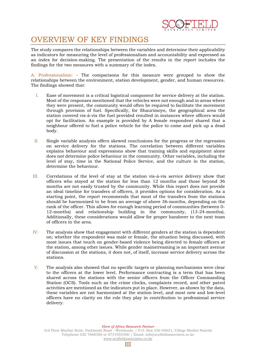

## OVERVIEW OF KEY FINDINGS

The study compares the relationships between the variables and determine their applicability as indicators for measuring the level of professionalism and accountability and expressed as an index for decision-making. The presentation of the results in the report includes the findings for the two measures with a summary of the index.

A. Professionalism: – The comparisons for this measure were grouped to show the relationships between the environment, station development, gender, and human resources. The findings showed that:

- I. Ease of movement is a critical logistical component for service delivery at the station. Most of the responses mentioned that the vehicles were not enough and in areas where they were present, the community would often be required to facilitate the movement through provision of fuel. Specifically, for Shaurimoyo, the geographical area the station covered vis-à-vis the fuel provided resulted in instances where officers would opt for facilitation. An example is provided by A female respondent shared that a neighbour offered to fuel a police vehicle for the police to come and pick up a dead body.
- II. Single variable analysis offers skewed conclusions for the progress or the regression on service delivery for the stations. The correlation between different variables explains behaviour and expressions show that training skills and equipment alone does not determine police behaviour in the community. Other variables, including the level of stay, time in the National Police Service, and the culture in the station, determine the behaviour.
- III. Correlations of the level of stay at the station vis-à-vis service delivery show that officers who stayed at the station for less than 12 months and those beyond 36 months are not easily trusted by the community. While this report does not provide an ideal timeline for transfers of officers, it provides options for consideration. As a starting point, the report recommends that most of the transfers from the stations should be harmonized to be from an average of above 36-months, depending on the rank of the officer. This allows for enough learning period of communities (between 0- 12-months) and relationship building in the community, (13-24-months). Additionally, these considerations would allow for proper handover to the next team of officers in the area.
- IV. The analysis show that engagement with different genders at the station is dependent on; whether the respondent was male or female, the situation being discussed, with most issues that touch on gender-based violence being directed to female officers at the station, among other issues. While gender mainstreaming is an important avenue of discussion at the stations, it does not, of itself, increase service delivery across the stations.
- V. The analysis also showed that no specific targets or planning mechanisms were clear to the officers at the lower level. Performance contracting is a term that has been shared across the stations with the senior officers from the Officer Commanding Station (OCS). Tools such as the crime clocks, complaints record, and other patrol activities are mentioned as the indicators put in place. However, as shown by the data, these variables are not harmonized at the station level, and most new and low-level officers have no clarity on the role they play in contribution to professional service delivery.

*Horn of Africa Research Partner*

<sup>3</sup>rd Floor Mayfair Suite, Parklands Road - Westlands, | P.O. Box 336-00621, Village Market Nairobi Telephone 020 7868306 or 0731055306 | Email: [info@scofieldassociates.co.ke](mailto:info@scofieldassociates.co.ke) [www.scofieldassociates.co.ke](http://www.scofieldassociates.co.ke/)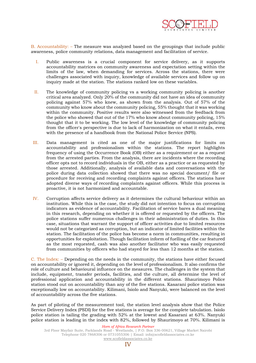

B. Accountability: – The measure was analyzed based on the groupings that include public awareness, police community relations, data management and facilitation of service.

- I. Public awareness is a crucial component for service delivery, as it supports accountability matrices on community awareness and expectation setting within the limits of the law, when demanding for services. Across the stations, there were challenges associated with inquiry, knowledge of available services and follow up on inquiry made at the station. The stations ranked low on these variables.
- II. The knowledge of community policing vs a working community policing is another critical area analyzed. Only 20% of the community did not have an idea of community policing against 57% who knew, as shown from the analysis. Out of 57% of the community who know about the community policing, 55% thought that it was working within the community. Positive results were also witnessed from the feedback from the police who showed that out of the 17% who know about community policing, 15% thought that it to be working. The low level of the knowledge of community policing from the officer's perspective is due to lack of harmonization on what it entails, even with the presence of a handbook from the National Police Service (NPS).
- III. Data management is cited as one of the major justifications for limits on accountability and professionalism within the stations. The report highlights frequency of using the Occurrence Book (OB) either as a requirement or as a request from the arrested parties. From the analysis, there are incidents where the recording officer opts not to record individuals in the OB, either as a practice or as requested by those arrested. Additionally, analysis of available data and conversations with the police during data collection showed that there was no special document/ file or procedure for receiving and recording complaints against officers. The stations have adopted diverse ways of recording complaints against officers. While this process is proactive, it is not harmonized and accountable.
- IV. Corruption affects service delivery as it determines the cultural behaviour within an institution. While this is the case, the study did not intention to focus on corruption indicators as evidence of accountability. Facilitation of service bares a dual meaning in this research, depending on whether it is offered or requested by the officers. The police stations suffer numerous challenges in their administration of duties. In this case, situations that warrant the support of officer activities due to limited resources would not be categorized as corruption, but an indicator of limited facilities within the station. The facilitation of the police has become a norm in communities, resulting in opportunities for exploitation. Though facilitation inform of fuelling of the car featured as the most requested, cash was also another facilitator who was easily requested from communities by officers who had stayed for less than 12 months at the station.

C. The Index: – Depending on the needs in the community, the stations have either focused on accountability or ignored it, depending on the level of professionalism. It also confirms the role of culture and behavioural influence on the measures. The challenges in the system that include, equipment, transfer periods, facilities, and the culture, all determine the level of professional application and accountability in the different stations. Shaurimoyo Police station stood out on accountability than any of the five stations. Kasarani police station was exceptionally low on accountability. Kilimani, Isiolo and Nanyuki, were balanced on the level of accountability across the five stations.

As part of piloting of the measurement tool, the station level analysis show that the Police Service Delivery Index (PSDI) for the five stations is average for the complete tabulation. Isiolo police station is tailing the grading with 52% at the lowest and Kasarani at 63%. Nanyuki police station is leading in the index with 82%, followed by Shaurimoyo at 70%. Kilimani is

*Horn of Africa Research Partner*

3rd Floor Mayfair Suite, Parklands Road - Westlands, | P.O. Box 336-00621, Village Market Nairobi Telephone 020 7868306 or 0731055306 | Email: [info@scofieldassociates.co.ke](mailto:info@scofieldassociates.co.ke) [www.scofieldassociates.co.ke](http://www.scofieldassociates.co.ke/)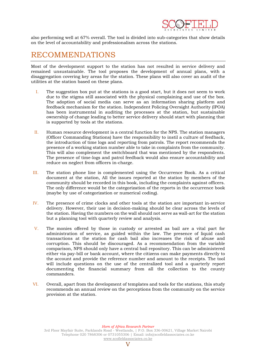

also performing well at 67% overall. The tool is divided into sub-categories that show details on the level of accountability and professionalism across the stations.

## RECOMMENDATIONS

Most of the development support to the station has not resulted in service delivery and remained unsustainable. The tool proposes the development of annual plans, with a disaggregation covering key areas for the station. These plans will also cover an audit of the utilities at the station based on these plans.

- I. The suggestion box put at the stations is a good start, but it does not seem to work due to the stigma still associated with the physical complaining and use of the box. The adoption of social media can serve as an information sharing platform and feedback mechanism for the station. Independent Policing Oversight Authority (IPOA) has been instrumental in auditing the processes at the station, but sustainable ownership of change leading to better service delivery should start with planning that is supported by tools at the stations.
- II. Human resource development is a central function for the NPS. The station managers (Officer Commanding Stations) have the responsibility to instil a culture of feedback, the introduction of time logs and reporting from patrols. The report recommends the presence of a working station number able to take in complaints from the community. This will also complement the switchboard that was mentioned by the respondents. The presence of time-logs and patrol feedback would also ensure accountability and reduce on neglect from officers in-charge.
- III. The station phone line is complemented using the Occurrence Book. As a critical document at the station, All the issues reported at the station by members of the community should be recorded in this book, including the complaints against officers. The only difference would be the categorization of the reports in the occurrence book (maybe by use of categorization or numerical coding).
- IV. The presence of crime clocks and other tools at the station are important in-service delivery. However, their use in decision-making should be clear across the levels of the station. Having the numbers on the wall should not serve as wall-art for the station but a planning tool with quarterly review and analysis.
- V. The monies offered by those in custody or arrested as bail are a vital part for administration of service, as guided within the law. The presence of liquid cash transactions at the station for cash bail also increases the risk of abuse and corruption. This should be discouraged. As a recommendation from the variable comparison, NPS should only have a central bail repository. This can be administered either via pay-bill or bank account, where the citizens can make payments directly to the account and provide the reference number and amount to the receipts. The tool will include questions on the use of the centralized tool and a quarterly report documenting the financial summary from all the collection to the county commanders.
- VI. Overall, apart from the development of templates and tools for the stations, this study recommends an annual review on the perceptions from the community on the service provision at the station.

*Horn of Africa Research Partner*

<sup>3</sup>rd Floor Mayfair Suite, Parklands Road - Westlands, | P.O. Box 336-00621, Village Market Nairobi Telephone 020 7868306 or 0731055306 | Email: [info@scofieldassociates.co.ke](mailto:info@scofieldassociates.co.ke) [www.scofieldassociates.co.ke](http://www.scofieldassociates.co.ke/)